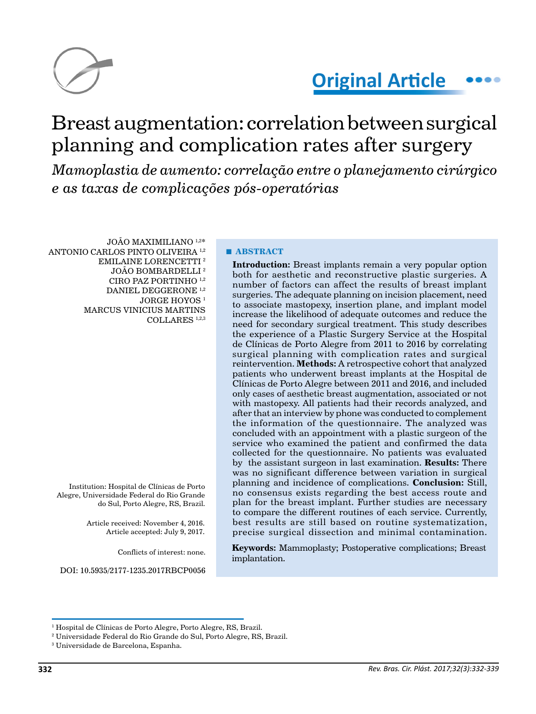

# **Original Article**

# Breast augmentation: correlation between surgical planning and complication rates after surgery

*Mamoplastia de aumento: correlação entre o planejamento cirúrgico e as taxas de complicações pós-operatórias*

JOÃO MAXIMILIANO 1,2\* ANTONIO CARLOS PINTO OLIVEIRA 1,2 EMILAINE LORENCETTI 2 JOÃO BOMBARDELLI<sup>2</sup> CIRO PAZ PORTINHO 1,2 DANIEL DEGGERONE 1,2 JORGE HOYOS<sup>1</sup> MARCUS VINICIUS MARTINS COLLARES 1,2,3

Institution: Hospital de Clínicas de Porto Alegre, Universidade Federal do Rio Grande do Sul, Porto Alegre, RS, Brazil.

> Article received: November 4, 2016. Article accepted: July 9, 2017.

> > Conflicts of interest: none.

DOI: 10.5935/2177-1235.2017RBCP0056

#### **■ ABSTRACT**

**Introduction:** Breast implants remain a very popular option both for aesthetic and reconstructive plastic surgeries. A number of factors can affect the results of breast implant surgeries. The adequate planning on incision placement, need to associate mastopexy, insertion plane, and implant model increase the likelihood of adequate outcomes and reduce the need for secondary surgical treatment. This study describes the experience of a Plastic Surgery Service at the Hospital de Clínicas de Porto Alegre from 2011 to 2016 by correlating surgical planning with complication rates and surgical reintervention. **Methods:** A retrospective cohort that analyzed patients who underwent breast implants at the Hospital de Clínicas de Porto Alegre between 2011 and 2016, and included only cases of aesthetic breast augmentation, associated or not with mastopexy. All patients had their records analyzed, and after that an interview by phone was conducted to complement the information of the questionnaire. The analyzed was concluded with an appointment with a plastic surgeon of the service who examined the patient and confirmed the data collected for the questionnaire. No patients was evaluated by the assistant surgeon in last examination. **Results:** There was no significant difference between variation in surgical planning and incidence of complications. **Conclusion:** Still, no consensus exists regarding the best access route and plan for the breast implant. Further studies are necessary to compare the different routines of each service. Currently, best results are still based on routine systematization, precise surgical dissection and minimal contamination.

**Keywords:** Mammoplasty; Postoperative complications; Breast implantation.

<sup>1</sup> Hospital de Clínicas de Porto Alegre, Porto Alegre, RS, Brazil.

<sup>2</sup> Universidade Federal do Rio Grande do Sul, Porto Alegre, RS, Brazil.

<sup>3</sup> Universidade de Barcelona, Espanha.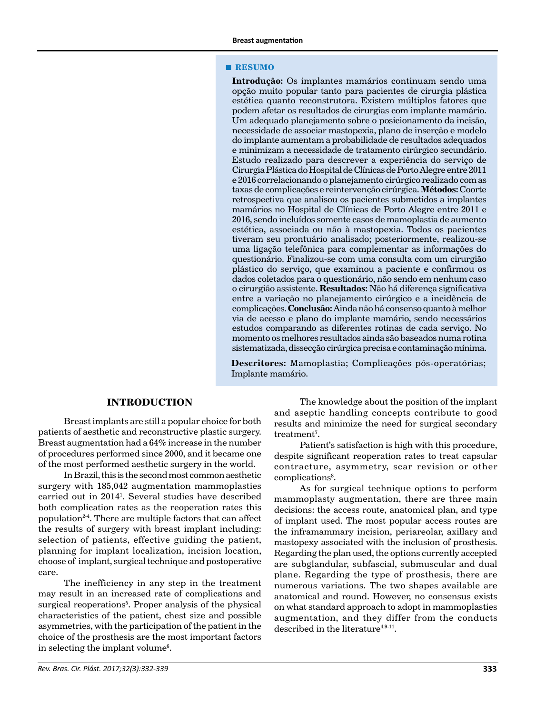#### **■ RESUMO**

**Introdução:** Os implantes mamários continuam sendo uma opção muito popular tanto para pacientes de cirurgia plástica estética quanto reconstrutora. Existem múltiplos fatores que podem afetar os resultados de cirurgias com implante mamário. Um adequado planejamento sobre o posicionamento da incisão, necessidade de associar mastopexia, plano de inserção e modelo do implante aumentam a probabilidade de resultados adequados e minimizam a necessidade de tratamento cirúrgico secundário. Estudo realizado para descrever a experiência do serviço de Cirurgia Plástica do Hospital de Clínicas de Porto Alegre entre 2011 e 2016 correlacionando o planejamento cirúrgico realizado com as taxas de complicações e reintervenção cirúrgica. **Métodos:** Coorte retrospectiva que analisou os pacientes submetidos a implantes mamários no Hospital de Clínicas de Porto Alegre entre 2011 e 2016, sendo incluídos somente casos de mamoplastia de aumento estética, associada ou não à mastopexia. Todos os pacientes tiveram seu prontuário analisado; posteriormente, realizou-se uma ligação telefônica para complementar as informações do questionário. Finalizou-se com uma consulta com um cirurgião plástico do serviço, que examinou a paciente e confirmou os dados coletados para o questionário, não sendo em nenhum caso o cirurgião assistente. **Resultados:** Não há diferença significativa entre a variação no planejamento cirúrgico e a incidência de complicações. **Conclusão:** Ainda não há consenso quanto à melhor via de acesso e plano do implante mamário, sendo necessários estudos comparando as diferentes rotinas de cada serviço. No momento os melhores resultados ainda são baseados numa rotina sistematizada, dissecção cirúrgica precisa e contaminação mínima.

**Descritores:** Mamoplastia; Complicações pós-operatórias; Implante mamário.

#### **INTRODUCTION**

Breast implants are still a popular choice for both patients of aesthetic and reconstructive plastic surgery. Breast augmentation had a 64% increase in the number of procedures performed since 2000, and it became one of the most performed aesthetic surgery in the world.

In Brazil, this is the second most common aesthetic surgery with 185,042 augmentation mammoplasties carried out in 20141 . Several studies have described both complication rates as the reoperation rates this population2-4. There are multiple factors that can affect the results of surgery with breast implant including: selection of patients, effective guiding the patient, planning for implant localization, incision location, choose of implant, surgical technique and postoperative care.

The inefficiency in any step in the treatment may result in an increased rate of complications and surgical reoperations<sup>5</sup>. Proper analysis of the physical characteristics of the patient, chest size and possible asymmetries, with the participation of the patient in the choice of the prosthesis are the most important factors in selecting the implant volume<sup>6</sup>.

The knowledge about the position of the implant and aseptic handling concepts contribute to good results and minimize the need for surgical secondary treatment<sup>7</sup>.

Patient's satisfaction is high with this procedure, despite significant reoperation rates to treat capsular contracture, asymmetry, scar revision or other complications<sup>8</sup>.

As for surgical technique options to perform mammoplasty augmentation, there are three main decisions: the access route, anatomical plan, and type of implant used. The most popular access routes are the inframammary incision, periareolar, axillary and mastopexy associated with the inclusion of prosthesis. Regarding the plan used, the options currently accepted are subglandular, subfascial, submuscular and dual plane. Regarding the type of prosthesis, there are numerous variations. The two shapes available are anatomical and round. However, no consensus exists on what standard approach to adopt in mammoplasties augmentation, and they differ from the conducts described in the literature<sup>4,9-11</sup>.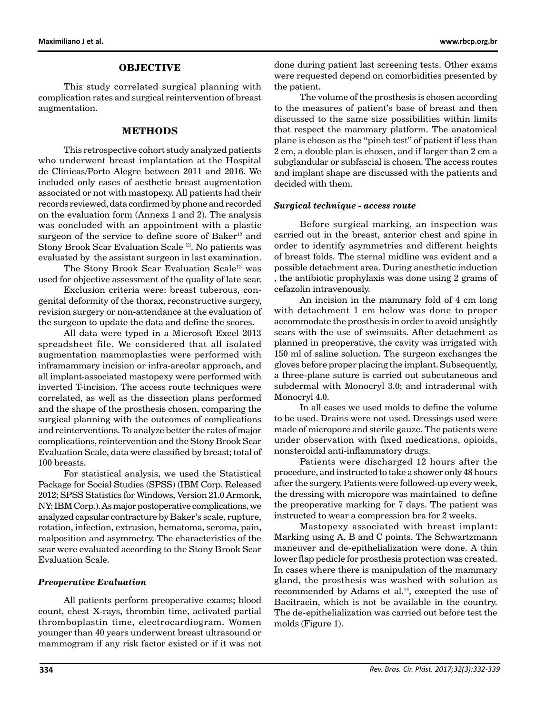#### **OBJECTIVE**

This study correlated surgical planning with complication rates and surgical reintervention of breast augmentation.

#### **METHODS**

This retrospective cohort study analyzed patients who underwent breast implantation at the Hospital de Clínicas/Porto Alegre between 2011 and 2016. We included only cases of aesthetic breast augmentation associated or not with mastopexy. All patients had their records reviewed, data confirmed by phone and recorded on the evaluation form (Annexs 1 and 2). The analysis was concluded with an appointment with a plastic surgeon of the service to define score of Baker<sup>12</sup> and Stony Brook Scar Evaluation Scale 13. No patients was evaluated by the assistant surgeon in last examination.

The Stony Brook Scar Evaluation Scale<sup>13</sup> was used for objective assessment of the quality of late scar.

Exclusion criteria were: breast tuberous, congenital deformity of the thorax, reconstructive surgery, revision surgery or non-attendance at the evaluation of the surgeon to update the data and define the scores.

All data were typed in a Microsoft Excel 2013 spreadsheet file. We considered that all isolated augmentation mammoplasties were performed with inframammary incision or infra-areolar approach, and all implant-associated mastopexy were performed with inverted T-incision. The access route techniques were correlated, as well as the dissection plans performed and the shape of the prosthesis chosen, comparing the surgical planning with the outcomes of complications and reinterventions. To analyze better the rates of major complications, reintervention and the Stony Brook Scar Evaluation Scale, data were classified by breast; total of 100 breasts.

For statistical analysis, we used the Statistical Package for Social Studies (SPSS) (IBM Corp. Released 2012; SPSS Statistics for Windows, Version 21.0 Armonk, NY: IBM Corp.). As major postoperative complications, we analyzed capsular contracture by Baker's scale, rupture, rotation, infection, extrusion, hematoma, seroma, pain, malposition and asymmetry. The characteristics of the scar were evaluated according to the Stony Brook Scar Evaluation Scale.

#### *Preoperative Evaluation*

All patients perform preoperative exams; blood count, chest X-rays, thrombin time, activated partial thromboplastin time, electrocardiogram. Women younger than 40 years underwent breast ultrasound or mammogram if any risk factor existed or if it was not done during patient last screening tests. Other exams were requested depend on comorbidities presented by the patient.

The volume of the prosthesis is chosen according to the measures of patient's base of breast and then discussed to the same size possibilities within limits that respect the mammary platform. The anatomical plane is chosen as the "pinch test" of patient if less than 2 cm, a double plan is chosen, and if larger than 2 cm a subglandular or subfascial is chosen. The access routes and implant shape are discussed with the patients and decided with them.

#### *Surgical technique - access route*

Before surgical marking, an inspection was carried out in the breast, anterior chest and spine in order to identify asymmetries and different heights of breast folds. The sternal midline was evident and a possible detachment area. During anesthetic induction , the antibiotic prophylaxis was done using 2 grams of cefazolin intravenously.

An incision in the mammary fold of 4 cm long with detachment 1 cm below was done to proper accommodate the prosthesis in order to avoid unsightly scars with the use of swimsuits. After detachment as planned in preoperative, the cavity was irrigated with 150 ml of saline soluction. The surgeon exchanges the gloves before proper placing the implant. Subsequently, a three-plane suture is carried out subcutaneous and subdermal with Monocryl 3.0; and intradermal with Monocryl 4.0.

In all cases we used molds to define the volume to be used. Drains were not used. Dressings used were made of micropore and sterile gauze. The patients were under observation with fixed medications, opioids, nonsteroidal anti-inflammatory drugs.

Patients were discharged 12 hours after the procedure, and instructed to take a shower only 48 hours after the surgery. Patients were followed-up every week, the dressing with micropore was maintained to define the preoperative marking for 7 days. The patient was instructed to wear a compression bra for 2 weeks.

Mastopexy associated with breast implant: Marking using A, B and C points. The Schwartzmann maneuver and de-epithelialization were done. A thin lower flap pedicle for prosthesis protection was created. In cases where there is manipulation of the mammary gland, the prosthesis was washed with solution as recommended by Adams et al. $14$ , excepted the use of Bacitracin, which is not be available in the country. The de-epithelialization was carried out before test the molds (Figure 1).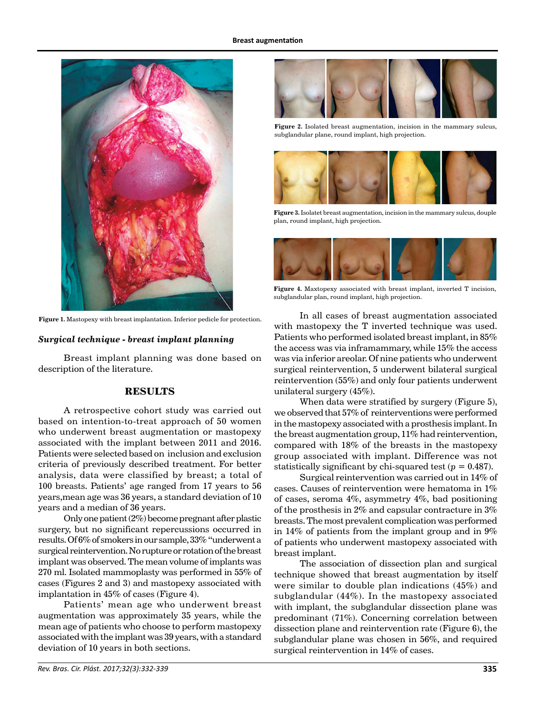

**Figure 1.** Mastopexy with breast implantation. Inferior pedicle for protection.

#### *Surgical technique - breast implant planning*

Breast implant planning was done based on description of the literature.

#### **RESULTS**

A retrospective cohort study was carried out based on intention-to-treat approach of 50 women who underwent breast augmentation or mastopexy associated with the implant between 2011 and 2016. Patients were selected based on inclusion and exclusion criteria of previously described treatment. For better analysis, data were classified by breast; a total of 100 breasts. Patients' age ranged from 17 years to 56 years,mean age was 36 years, a standard deviation of 10 years and a median of 36 years.

Only one patient (2%) become pregnant after plastic surgery, but no significant repercussions occurred in results. Of 6% of smokers in our sample, 33% "underwent a surgical reintervention. No rupture or rotation of the breast implant was observed. The mean volume of implants was 270 ml. Isolated mammoplasty was performed in 55% of cases (Figures 2 and 3) and mastopexy associated with implantation in 45% of cases (Figure 4).

Patients' mean age who underwent breast augmentation was approximately 35 years, while the mean age of patients who choose to perform mastopexy associated with the implant was 39 years, with a standard deviation of 10 years in both sections.



**Figure 2.** Isolated breast augmentation, incision in the mammary sulcus, subglandular plane, round implant, high projection.



**Figure 3.** Isolatet breast augmentation, incision in the mammary sulcus, douple plan, round implant, high projection.



**Figure 4.** Maxtopexy associated with breast implant, inverted T incision, subglandular plan, round implant, high projection.

In all cases of breast augmentation associated with mastopexy the T inverted technique was used. Patients who performed isolated breast implant, in 85% the access was via inframammary, while 15% the access was via inferior areolar. Of nine patients who underwent surgical reintervention, 5 underwent bilateral surgical reintervention (55%) and only four patients underwent unilateral surgery (45%).

When data were stratified by surgery (Figure 5), we observed that 57% of reinterventions were performed in the mastopexy associated with a prosthesis implant. In the breast augmentation group, 11% had reintervention, compared with 18% of the breasts in the mastopexy group associated with implant. Difference was not statistically significant by chi-squared test  $(p = 0.487)$ .

Surgical reintervention was carried out in 14% of cases. Causes of reintervention were hematoma in 1% of cases, seroma  $4\%$ , asymmetry  $4\%$ , bad positioning of the prosthesis in 2% and capsular contracture in 3% breasts. The most prevalent complication was performed in 14% of patients from the implant group and in 9% of patients who underwent mastopexy associated with breast implant.

The association of dissection plan and surgical technique showed that breast augmentation by itself were similar to double plan indications (45%) and subglandular (44%). In the mastopexy associated with implant, the subglandular dissection plane was predominant (71%). Concerning correlation between dissection plane and reintervention rate (Figure 6), the subglandular plane was chosen in 56%, and required surgical reintervention in 14% of cases.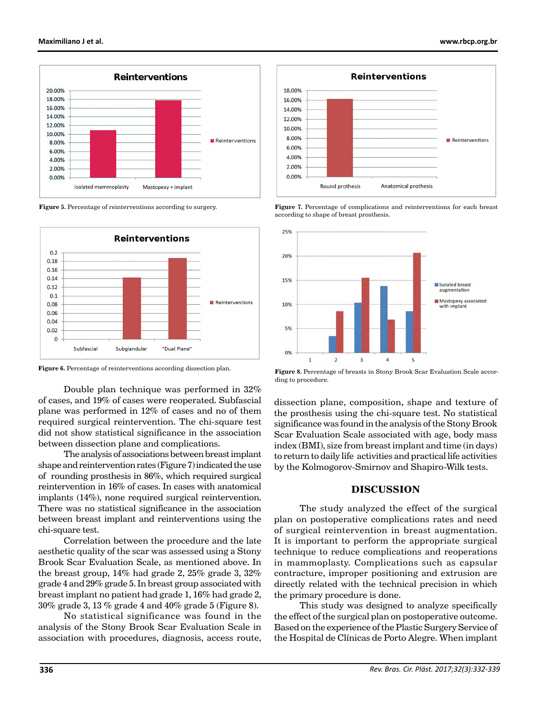

**Figure 5.** Percentage of reinterventions according to surgery.



Figure 6. Percentage of reinterventions according dissection plan.

Double plan technique was performed in 32% of cases, and 19% of cases were reoperated. Subfascial plane was performed in 12% of cases and no of them required surgical reintervention. The chi-square test did not show statistical significance in the association between dissection plane and complications.

The analysis of associations between breast implant shape and reintervention rates (Figure 7) indicated the use of rounding prosthesis in 86%, which required surgical reintervention in 16% of cases. In cases with anatomical implants (14%), none required surgical reintervention. There was no statistical significance in the association between breast implant and reinterventions using the chi-square test.

Correlation between the procedure and the late aesthetic quality of the scar was assessed using a Stony Brook Scar Evaluation Scale, as mentioned above. In the breast group, 14% had grade 2, 25% grade 3, 32% grade 4 and 29% grade 5. In breast group associated with breast implant no patient had grade 1, 16% had grade 2, 30% grade 3, 13 % grade 4 and 40% grade 5 (Figure 8).

No statistical significance was found in the analysis of the Stony Brook Scar Evaluation Scale in association with procedures, diagnosis, access route,



**Figure 7.** Percentage of complications and reinterventions for each breast according to shape of breast prosthesis.



**Figure 8.** Percentage of breasts in Stony Brook Scar Evaluation Scale according to procedure.

dissection plane, composition, shape and texture of the prosthesis using the chi-square test. No statistical significance was found in the analysis of the Stony Brook Scar Evaluation Scale associated with age, body mass index (BMI), size from breast implant and time (in days) to return to daily life activities and practical life activities by the Kolmogorov-Smirnov and Shapiro-Wilk tests.

## **DISCUSSION**

The study analyzed the effect of the surgical plan on postoperative complications rates and need of surgical reintervention in breast augmentation. It is important to perform the appropriate surgical technique to reduce complications and reoperations in mammoplasty. Complications such as capsular contracture, improper positioning and extrusion are directly related with the technical precision in which the primary procedure is done.

This study was designed to analyze specifically the effect of the surgical plan on postoperative outcome. Based on the experience of the Plastic Surgery Service of the Hospital de Clínicas de Porto Alegre. When implant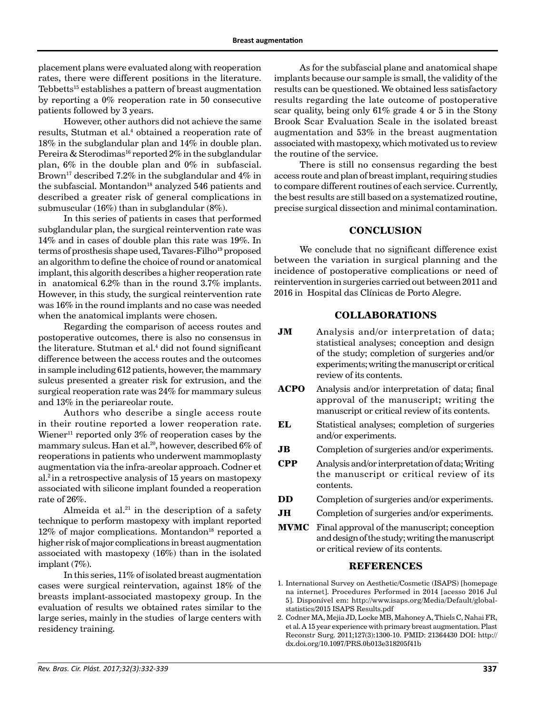placement plans were evaluated along with reoperation rates, there were different positions in the literature. Tebbetts<sup>15</sup> establishes a pattern of breast augmentation by reporting a 0% reoperation rate in 50 consecutive patients followed by 3 years.

However, other authors did not achieve the same results, Stutman et al.<sup>4</sup> obtained a reoperation rate of 18% in the subglandular plan and 14% in double plan. Pereira & Sterodimas<sup>16</sup> reported 2% in the subglandular plan, 6% in the double plan and 0% in subfascial. Brown<sup>17</sup> described 7.2% in the subglandular and 4% in the subfascial. Montandon<sup>18</sup> analyzed 546 patients and described a greater risk of general complications in submuscular (16%) than in subglandular (8%).

In this series of patients in cases that performed subglandular plan, the surgical reintervention rate was 14% and in cases of double plan this rate was 19%. In terms of prosthesis shape used, Tavares-Filho<sup>19</sup> proposed an algorithm to define the choice of round or anatomical implant, this algorith describes a higher reoperation rate in anatomical 6.2% than in the round 3.7% implants. However, in this study, the surgical reintervention rate was 16% in the round implants and no case was needed when the anatomical implants were chosen.

Regarding the comparison of access routes and postoperative outcomes, there is also no consensus in the literature. Stutman et al.4 did not found significant difference between the access routes and the outcomes in sample including 612 patients, however, the mammary sulcus presented a greater risk for extrusion, and the surgical reoperation rate was 24% for mammary sulcus and 13% in the periareolar route.

Authors who describe a single access route in their routine reported a lower reoperation rate. Wiener<sup>11</sup> reported only  $3\%$  of reoperation cases by the mammary sulcus. Han et al.20, however, described 6% of reoperations in patients who underwent mammoplasty augmentation via the infra-areolar approach. Codner et  $al.\nvert^2$  in a retrospective analysis of 15 years on mastopexy associated with silicone implant founded a reoperation rate of 26%.

Almeida et al. $21$  in the description of a safety technique to perform mastopexy with implant reported  $12\%$  of major complications. Montandon<sup>18</sup> reported a higher risk of major complications in breast augmentation associated with mastopexy (16%) than in the isolated implant (7%).

In this series, 11% of isolated breast augmentation cases were surgical reintervation, against 18% of the breasts implant-associated mastopexy group. In the evaluation of results we obtained rates similar to the large series, mainly in the studies of large centers with residency training.

As for the subfascial plane and anatomical shape implants because our sample is small, the validity of the results can be questioned. We obtained less satisfactory results regarding the late outcome of postoperative scar quality, being only 61% grade 4 or 5 in the Stony Brook Scar Evaluation Scale in the isolated breast augmentation and 53% in the breast augmentation associated with mastopexy, which motivated us to review the routine of the service.

There is still no consensus regarding the best access route and plan of breast implant, requiring studies to compare different routines of each service. Currently, the best results are still based on a systematized routine, precise surgical dissection and minimal contamination.

#### **CONCLUSION**

We conclude that no significant difference exist between the variation in surgical planning and the incidence of postoperative complications or need of reintervention in surgeries carried out between 2011 and 2016 in Hospital das Clínicas de Porto Alegre.

#### **COLLABORATIONS**

- **JM** Analysis and/or interpretation of data; statistical analyses; conception and design of the study; completion of surgeries and/or experiments; writing the manuscript or critical review of its contents.
- **ACPO** Analysis and/or interpretation of data; final approval of the manuscript; writing the manuscript or critical review of its contents.
- **EL** Statistical analyses; completion of surgeries and/or experiments.
- **JB** Completion of surgeries and/or experiments.
- **CPP** Analysis and/or interpretation of data; Writing the manuscript or critical review of its contents.
- **DD** Completion of surgeries and/or experiments.
- **JH** Completion of surgeries and/or experiments.
- **MVMC** Final approval of the manuscript; conception and design of the study; writing the manuscript or critical review of its contents.

## **REFERENCES**

- 1. International Survey on Aesthetic/Cosmetic (ISAPS) [homepage na internet]. Procedures Performed in 2014 [acesso 2016 Jul 5]. Disponível em: http://www.isaps.org/Media/Default/globalstatistics/2015 ISAPS Results.pdf
- 2. Codner MA, Mejia JD, Locke MB, Mahoney A, Thiels C, Nahai FR, et al. A 15 year experience with primary breast augmentation. Plast Reconstr Surg. 2011;127(3):1300-10. PMID: 21364430 DOI: http:// dx.doi.org/10.1097/PRS.0b013e318205f41b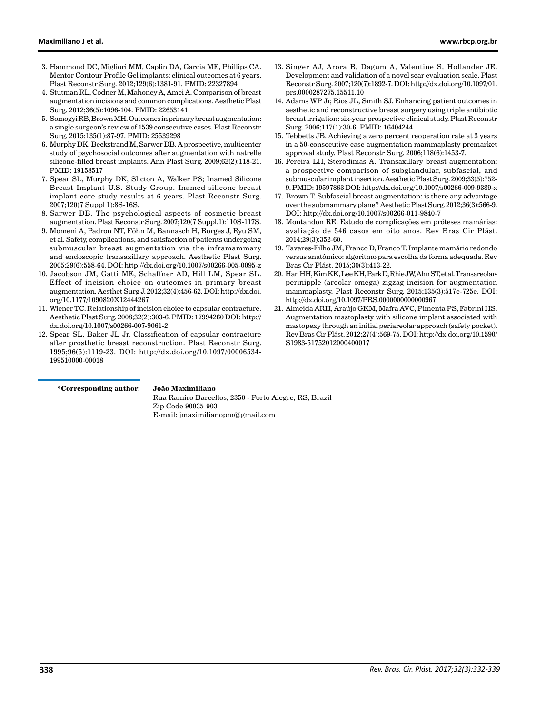- 3. Hammond DC, Migliori MM, Caplin DA, Garcia ME, Phillips CA. Mentor Contour Profile Gel implants: clinical outcomes at 6 years. Plast Reconstr Surg. 2012;129(6):1381-91. PMID: 22327894
- 4. Stutman RL, Codner M, Mahoney A, Amei A. Comparison of breast augmentation incisions and common complications. Aesthetic Plast Surg. 2012;36(5):1096-104. PMID: 22653141
- 5. Somogyi RB, Brown MH. Outcomes in primary breast augmentation: a single surgeon's review of 1539 consecutive cases. Plast Reconstr Surg. 2015;135(1):87-97. PMID: 25539298
- 6. Murphy DK, Beckstrand M, Sarwer DB. A prospective, multicenter study of psychosocial outcomes after augmentation with natrelle silicone-filled breast implants. Ann Plast Surg. 2009;62(2):118-21. PMID: 19158517
- 7. Spear SL, Murphy DK, Slicton A, Walker PS; Inamed Silicone Breast Implant U.S. Study Group. Inamed silicone breast implant core study results at 6 years. Plast Reconstr Surg. 2007;120(7 Suppl 1):8S-16S.
- 8. Sarwer DB. The psychological aspects of cosmetic breast augmentation. Plast Reconstr Surg. 2007;120(7 Suppl.1):110S-117S.
- 9. Momeni A, Padron NT, Föhn M, Bannasch H, Borges J, Ryu SM, et al. Safety, complications, and satisfaction of patients undergoing submuscular breast augmentation via the inframammary and endoscopic transaxillary approach. Aesthetic Plast Surg. 2005;29(6):558-64. DOI: http://dx.doi.org/10.1007/s00266-005-0095-z
- 10. Jacobson JM, Gatti ME, Schaffner AD, Hill LM, Spear SL. Effect of incision choice on outcomes in primary breast augmentation. Aesthet Surg J. 2012;32(4):456-62. DOI: http://dx.doi. org/10.1177/1090820X12444267
- 11. Wiener TC. Relationship of incision choice to capsular contracture. Aesthetic Plast Surg. 2008;32(2):303-6. PMID: 17994260 DOI: http:// dx.doi.org/10.1007/s00266-007-9061-2
- 12. Spear SL, Baker JL Jr. Classification of capsular contracture after prosthetic breast reconstruction. Plast Reconstr Surg. 1995;96(5):1119-23. DOI: http://dx.doi.org/10.1097/00006534- 199510000-00018
- 13. Singer AJ, Arora B, Dagum A, Valentine S, Hollander JE. Development and validation of a novel scar evaluation scale. Plast Reconstr Surg. 2007;120(7):1892-7. DOI: http://dx.doi.org/10.1097/01. prs.0000287275.15511.10
- 14. Adams WP Jr, Rios JL, Smith SJ. Enhancing patient outcomes in aesthetic and reconstructive breast surgery using triple antibiotic breast irrigation: six-year prospective clinical study. Plast Reconstr Surg. 2006;117(1):30-6. PMID: 16404244
- 15. Tebbetts JB. Achieving a zero percent reoperation rate at 3 years in a 50-consecutive case augmentation mammaplasty premarket approval study. Plast Reconstr Surg. 2006;118(6):1453-7.
- 16. Pereira LH, Sterodimas A. Transaxillary breast augmentation: a prospective comparison of subglandular, subfascial, and submuscular implant insertion. Aesthetic Plast Surg. 2009;33(5):752- 9. PMID: 19597863 DOI: http://dx.doi.org/10.1007/s00266-009-9389-x
- 17. Brown T. Subfascial breast augmentation: is there any advantage over the submammary plane? Aesthetic Plast Surg. 2012;36(3):566-9. DOI: http://dx.doi.org/10.1007/s00266-011-9840-7
- 18. Montandon RE. Estudo de complicações em próteses mamárias: avaliação de 546 casos em oito anos. Rev Bras Cir Plást. 2014;29(3):352-60.
- 19. Tavares-Filho JM, Franco D, Franco T. Implante mamário redondo versus anatômico: algoritmo para escolha da forma adequada. Rev Bras Cir Plást. 2015;30(3):413-22.
- 20. Han HH, Kim KK, Lee KH, Park D, Rhie JW, Ahn ST, et al. Transareolarperinipple (areolar omega) zigzag incision for augmentation mammaplasty. Plast Reconstr Surg. 2015;135(3):517e-725e. DOI: http://dx.doi.org/10.1097/PRS.0000000000000967
- 21. Almeida ARH, Araújo GKM, Mafra AVC, Pimenta PS, Fabrini HS. Augmentation mastoplasty with silicone implant associated with mastopexy through an initial periareolar approach (safety pocket). Rev Bras Cir Plást. 2012;27(4):569-75. DOI: http://dx.doi.org/10.1590/ S1983-51752012000400017

#### **\*Corresponding author:**

#### **João Maximiliano**

Rua Ramiro Barcellos, 2350 - Porto Alegre, RS, Brazil Zip Code 90035-903 E-mail: jmaximilianopm@gmail.com